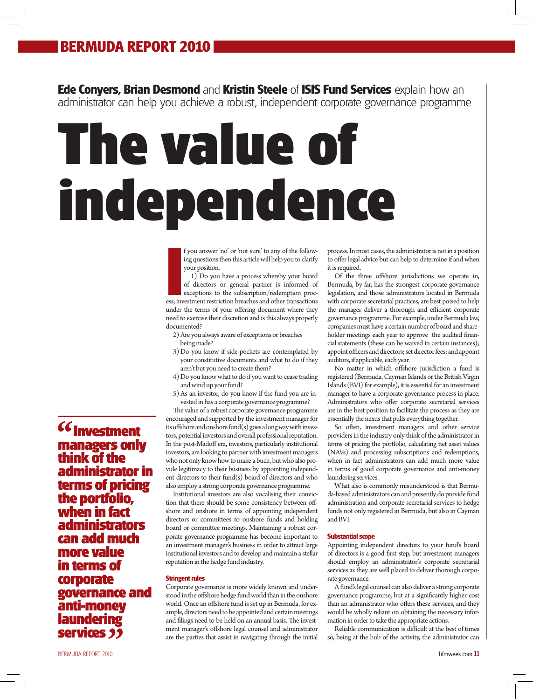# **BERMUDA REPORT 2010**

**Ede Conyers, Brian Desmond** and **Kristin Steele** of **ISIS Fund Services** explain how an administrator can help you achieve a robust, independent corporate governance programme

# **The value of independence**

f you answer 'no' or 'not sure' to any of the following questions then this article will help you to clarify your position.

**I** fyou answer 'no' or 'not sure' to any of the following questions then this article will help you to clarify your position.<br>
I) Do you have a process whereby your board of directors or general partner is informed of exc 1) Do you have a process whereby your board of directors or general partner is informed of exceptions to the subscription/redemption procunder the terms of your offering document where they need to exercise their discretion and is this always properly documented?

- 2) Are you always aware of exceptions or breaches being made?
- 3) Do you know if side-pockets are contemplated by your constitutive documents and what to do if they aren't but you need to create them?
- 4) Do you know what to do if you want to cease trading and wind up your fund?
- 5) As an investor, do you know if the fund you are invested in has a corporate governance programme?

The value of a robust corporate governance programme encouraged and supported by the investment manager for its offshore and onshore fund(s) goes a long way with investors, potential investors and overall professional reputation. In the post-Madoff era, investors, particularly institutional investors, are looking to partner with investment managers who not only know how to make a buck, but who also provide legitimacy to their business by appointing independent directors to their fund(s) board of directors and who also employ a strong corporate governance programme.

Institutional investors are also vocalising their conviction that there should be some consistency between offshore and onshore in terms of appointing independent directors or committees to onshore funds and holding board or committee meetings. Maintaining a robust corporate governance programme has become important to an investment manager's business in order to attract large institutional investors and to develop and maintain a stellar reputation in the hedge fund industry.

# **Stringent rules**

Corporate governance is more widely known and understood in the offshore hedge fund world than in the onshore world. Once an offshore fund is set up in Bermuda, for example, directors need to be appointed and certain meetings and filings need to be held on an annual basis. The investment manager's offshore legal counsel and administrator are the parties that assist in navigating through the initial

process. In most cases, the administrator is not in a position to offer legal advice but can help to determine if and when it is required.

Of the three offshore jurisdictions we operate in, Bermuda, by far, has the strongest corporate governance legislation, and those administrators located in Bermuda with corporate secretarial practices, are best poised to help the manager deliver a thorough and efficient corporate governance programme. For example, under Bermuda law, companies must have a certain number of board and shareholder meetings each year to approve the audited financial statements (these can be waived in certain instances); appoint officers and directors; set director fees; and appoint auditors, if applicable, each year.

No matter in which offshore jurisdiction a fund is registered (Bermuda, Cayman Islands or the British Virgin Islands (BVI) for example), it is essential for an investment manager to have a corporate governance process in place. Administrators who offer corporate secretarial services are in the best position to facilitate the process as they are essentially the nexus that pulls everything together.

So often, investment managers and other service providers in the industry only think of the administrator in terms of pricing the portfolio, calculating net asset values (NAVs) and processing subscriptions and redemptions, when in fact administrators can add much more value in terms of good corporate governance and anti-money laundering services.

What also is commonly misunderstood is that Bermuda-based administrators can and presently do provide fund administration and corporate secretarial services to hedge funds not only registered in Bermuda, but also in Cayman and BVI.

## **Substantial scope**

Appointing independent directors to your fund's board of directors is a good first step, but investment managers should employ an administrator's corporate secretarial services as they are well placed to deliver thorough corporate governance.

A fund's legal counsel can also deliver a strong corporate governance programme, but at a significantly higher cost than an administrator who offers these services, and they would be wholly reliant on obtaining the necessary information in order to take the appropriate actions.

Reliable communication is difficult at the best of times so, being at the hub of the activity, the administrator can

**Investment managers only think of the administrator in terms of pricing the portfolio, when in fact administrators can add much more value in terms of corporate governance and anti-money laundering**